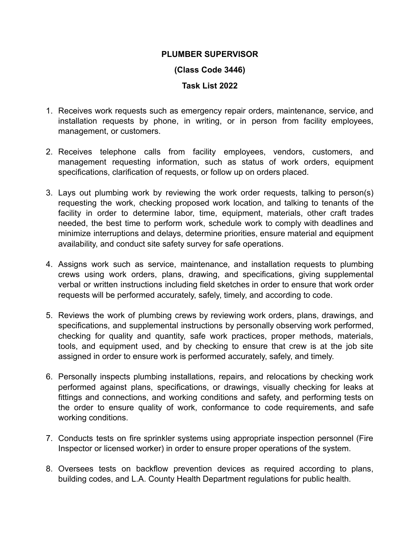## **PLUMBER SUPERVISOR**

## **(Class Code 3446)**

## **Task List 2022**

- 1. Receives work requests such as emergency repair orders, maintenance, service, and installation requests by phone, in writing, or in person from facility employees, management, or customers.
- 2. Receives telephone calls from facility employees, vendors, customers, and management requesting information, such as status of work orders, equipment specifications, clarification of requests, or follow up on orders placed.
- 3. Lays out plumbing work by reviewing the work order requests, talking to person(s) requesting the work, checking proposed work location, and talking to tenants of the facility in order to determine labor, time, equipment, materials, other craft trades needed, the best time to perform work, schedule work to comply with deadlines and minimize interruptions and delays, determine priorities, ensure material and equipment availability, and conduct site safety survey for safe operations.
- 4. Assigns work such as service, maintenance, and installation requests to plumbing crews using work orders, plans, drawing, and specifications, giving supplemental verbal or written instructions including field sketches in order to ensure that work order requests will be performed accurately, safely, timely, and according to code.
- 5. Reviews the work of plumbing crews by reviewing work orders, plans, drawings, and specifications, and supplemental instructions by personally observing work performed, checking for quality and quantity, safe work practices, proper methods, materials, tools, and equipment used, and by checking to ensure that crew is at the job site assigned in order to ensure work is performed accurately, safely, and timely.
- 6. Personally inspects plumbing installations, repairs, and relocations by checking work performed against plans, specifications, or drawings, visually checking for leaks at fittings and connections, and working conditions and safety, and performing tests on the order to ensure quality of work, conformance to code requirements, and safe working conditions.
- 7. Conducts tests on fire sprinkler systems using appropriate inspection personnel (Fire Inspector or licensed worker) in order to ensure proper operations of the system.
- 8. Oversees tests on backflow prevention devices as required according to plans, building codes, and L.A. County Health Department regulations for public health.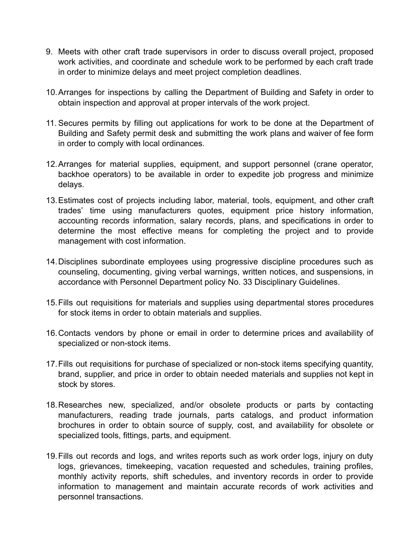- 9. Meets with other craft trade supervisors in order to discuss overall project, proposed work activities, and coordinate and schedule work to be performed by each craft trade in order to minimize delays and meet project completion deadlines.
- 10.Arranges for inspections by calling the Department of Building and Safety in order to obtain inspection and approval at proper intervals of the work project.
- 11. Secures permits by filling out applications for work to be done at the Department of Building and Safety permit desk and submitting the work plans and waiver of fee form in order to comply with local ordinances.
- 12.Arranges for material supplies, equipment, and support personnel (crane operator, backhoe operators) to be available in order to expedite job progress and minimize delays.
- 13.Estimates cost of projects including labor, material, tools, equipment, and other craft trades' time using manufacturers quotes, equipment price history information, accounting records information, salary records, plans, and specifications in order to determine the most effective means for completing the project and to provide management with cost information.
- 14.Disciplines subordinate employees using progressive discipline procedures such as counseling, documenting, giving verbal warnings, written notices, and suspensions, in accordance with Personnel Department policy No. 33 Disciplinary Guidelines.
- 15.Fills out requisitions for materials and supplies using departmental stores procedures for stock items in order to obtain materials and supplies.
- 16.Contacts vendors by phone or email in order to determine prices and availability of specialized or non-stock items.
- 17.Fills out requisitions for purchase of specialized or non-stock items specifying quantity, brand, supplier, and price in order to obtain needed materials and supplies not kept in stock by stores.
- 18.Researches new, specialized, and/or obsolete products or parts by contacting manufacturers, reading trade journals, parts catalogs, and product information brochures in order to obtain source of supply, cost, and availability for obsolete or specialized tools, fittings, parts, and equipment.
- 19.Fills out records and logs, and writes reports such as work order logs, injury on duty logs, grievances, timekeeping, vacation requested and schedules, training profiles, monthly activity reports, shift schedules, and inventory records in order to provide information to management and maintain accurate records of work activities and personnel transactions.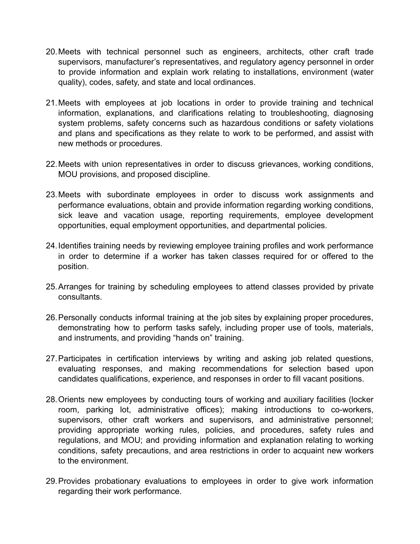- 20.Meets with technical personnel such as engineers, architects, other craft trade supervisors, manufacturer's representatives, and regulatory agency personnel in order to provide information and explain work relating to installations, environment (water quality), codes, safety, and state and local ordinances.
- 21.Meets with employees at job locations in order to provide training and technical information, explanations, and clarifications relating to troubleshooting, diagnosing system problems, safety concerns such as hazardous conditions or safety violations and plans and specifications as they relate to work to be performed, and assist with new methods or procedures.
- 22.Meets with union representatives in order to discuss grievances, working conditions, MOU provisions, and proposed discipline.
- 23.Meets with subordinate employees in order to discuss work assignments and performance evaluations, obtain and provide information regarding working conditions, sick leave and vacation usage, reporting requirements, employee development opportunities, equal employment opportunities, and departmental policies.
- 24.Identifies training needs by reviewing employee training profiles and work performance in order to determine if a worker has taken classes required for or offered to the position.
- 25.Arranges for training by scheduling employees to attend classes provided by private consultants.
- 26.Personally conducts informal training at the job sites by explaining proper procedures, demonstrating how to perform tasks safely, including proper use of tools, materials, and instruments, and providing "hands on" training.
- 27.Participates in certification interviews by writing and asking job related questions, evaluating responses, and making recommendations for selection based upon candidates qualifications, experience, and responses in order to fill vacant positions.
- 28.Orients new employees by conducting tours of working and auxiliary facilities (locker room, parking lot, administrative offices); making introductions to co-workers, supervisors, other craft workers and supervisors, and administrative personnel; providing appropriate working rules, policies, and procedures, safety rules and regulations, and MOU; and providing information and explanation relating to working conditions, safety precautions, and area restrictions in order to acquaint new workers to the environment.
- 29.Provides probationary evaluations to employees in order to give work information regarding their work performance.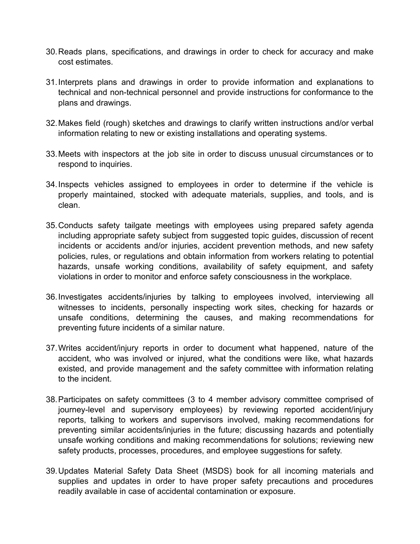- 30.Reads plans, specifications, and drawings in order to check for accuracy and make cost estimates.
- 31.Interprets plans and drawings in order to provide information and explanations to technical and non-technical personnel and provide instructions for conformance to the plans and drawings.
- 32.Makes field (rough) sketches and drawings to clarify written instructions and/or verbal information relating to new or existing installations and operating systems.
- 33.Meets with inspectors at the job site in order to discuss unusual circumstances or to respond to inquiries.
- 34.Inspects vehicles assigned to employees in order to determine if the vehicle is properly maintained, stocked with adequate materials, supplies, and tools, and is clean.
- 35.Conducts safety tailgate meetings with employees using prepared safety agenda including appropriate safety subject from suggested topic guides, discussion of recent incidents or accidents and/or injuries, accident prevention methods, and new safety policies, rules, or regulations and obtain information from workers relating to potential hazards, unsafe working conditions, availability of safety equipment, and safety violations in order to monitor and enforce safety consciousness in the workplace.
- 36.Investigates accidents/injuries by talking to employees involved, interviewing all witnesses to incidents, personally inspecting work sites, checking for hazards or unsafe conditions, determining the causes, and making recommendations for preventing future incidents of a similar nature.
- 37.Writes accident/injury reports in order to document what happened, nature of the accident, who was involved or injured, what the conditions were like, what hazards existed, and provide management and the safety committee with information relating to the incident.
- 38.Participates on safety committees (3 to 4 member advisory committee comprised of journey-level and supervisory employees) by reviewing reported accident/injury reports, talking to workers and supervisors involved, making recommendations for preventing similar accidents/injuries in the future; discussing hazards and potentially unsafe working conditions and making recommendations for solutions; reviewing new safety products, processes, procedures, and employee suggestions for safety.
- 39.Updates Material Safety Data Sheet (MSDS) book for all incoming materials and supplies and updates in order to have proper safety precautions and procedures readily available in case of accidental contamination or exposure.